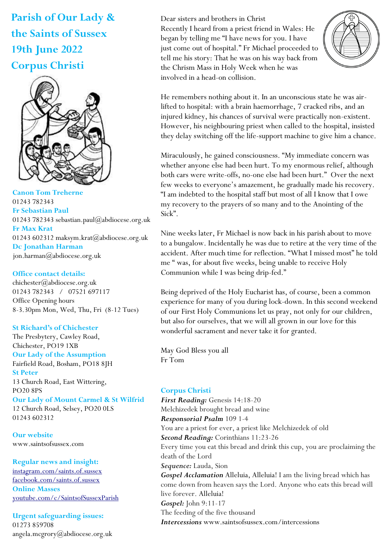**Parish of Our Lady & the Saints of Sussex 19th June 2022 Corpus Christi**



**Canon Tom Treherne**  01243 782343 **Fr Sebastian Paul**  01243 782343 sebastian.paul@abdiocese.org.uk **Fr Max Krat**  01243 602312 maksym.krat@abdiocese.org.uk **Dc Jonathan Harman**  [jon.harman@abdiocese.org.uk](mailto:jon.harman@abdiocese.org.uk)

# **Office contact details:**

chichester@abdiocese.org.uk 01243 782343 / 07521 697117 Office Opening hours 8-3.30pm Mon, Wed, Thu, Fri (8-12 Tues)

**St Richard's of Chichester** The Presbytery, Cawley Road,

Chichester, PO19 1XB **Our Lady of the Assumption**  Fairfield Road, Bosham, PO18 8JH **St Peter**  13 Church Road, East Wittering, PO20 8PS **Our Lady of Mount Carmel & St Wilfrid** 12 Church Road, Selsey, PO20 0LS 01243 602312

**Our website**  www.saintsofsussex.com

**Regular news and insight:** [instagram.com/saints.of.sussex](https://instagram.com/saints.of.sussex) [facebook.com/saints.of.sussex](https://facebook.com/saints.of.sussex) **Online Masses**  <youtube.com/c/SaintsofSussexParish>

**Urgent safeguarding issues:**  01273 859708 angela.mcgrory@abdiocese.org.uk Dear sisters and brothers in Christ Recently I heard from a priest friend in Wales: He began by telling me "I have news for you. I have just come out of hospital." Fr Michael proceeded to tell me his story: That he was on his way back from the Chrism Mass in Holy Week when he was involved in a head-on collision.



He remembers nothing about it. In an unconscious state he was airlifted to hospital: with a brain haemorrhage, 7 cracked ribs, and an injured kidney, his chances of survival were practically non-existent. However, his neighbouring priest when called to the hospital, insisted they delay switching off the life-support machine to give him a chance.

Miraculously, he gained consciousness. "My immediate concern was whether anyone else had been hurt. To my enormous relief, although both cars were write-offs, no-one else had been hurt." Over the next few weeks to everyone's amazement, he gradually made his recovery. "I am indebted to the hospital staff but most of all I know that I owe my recovery to the prayers of so many and to the Anointing of the Sick".

Nine weeks later, Fr Michael is now back in his parish about to move to a bungalow. Incidentally he was due to retire at the very time of the accident. After much time for reflection. "What I missed most" he told me " was, for about five weeks, being unable to receive Holy Communion while I was being drip-fed."

Being deprived of the Holy Eucharist has, of course, been a common experience for many of you during lock-down. In this second weekend of our First Holy Communions let us pray, not only for our children, but also for ourselves, that we will all grown in our love for this wonderful sacrament and never take it for granted.

May God Bless you all Fr Tom

# **Corpus Christi**

*First Reading:* Genesis 14:18-20 Melchizedek brought bread and wine *Responsorial Psalm* 109 1-4 You are a priest for ever, a priest like Melchizedek of old *Second Reading:* Corinthians 11:23-26 Every time you eat this bread and drink this cup, you are proclaiming the death of the Lord *Sequence:* Lauda, Sion *Gospel Acclamation* Alleluia, Alleluia! I am the living bread which has come down from heaven says the Lord. Anyone who eats this bread will live forever. Alleluia! *Gospel:* John 9:11-17 The feeding of the five thousand *Intercessions* www.saintsofsussex.com/intercessions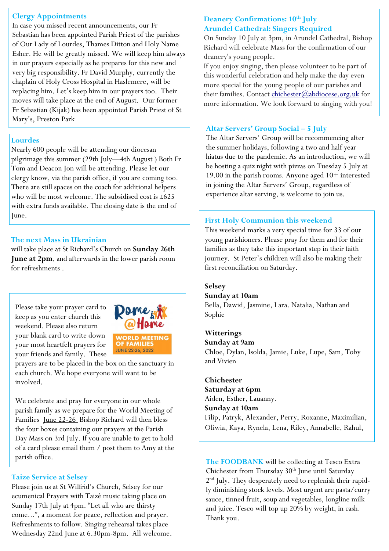# **Clergy Appointments**

In case you missed recent announcements, our Fr Sebastian has been appointed Parish Priest of the parishes of Our Lady of Lourdes, Thames Ditton and Holy Name Esher. He will be greatly missed. We will keep him always in our prayers especially as he prepares for this new and very big responsibility. Fr David Murphy, currently the chaplain of Holy Cross Hospital in Haslemere, will be replacing him. Let's keep him in our prayers too. Their moves will take place at the end of August. Our former Fr Sebastian (Kijak) has been appointed Parish Priest of St Mary's, Preston Park

# **Lourdes**

Nearly 600 people will be attending our diocesan pilgrimage this summer (29th July—4th August ) Both Fr Tom and Deacon Jon will be attending. Please let our clergy know, via the parish office, if you are coming too. There are still spaces on the coach for additional helpers who will be most welcome. The subsidised cost is £625 with extra funds available. The closing date is the end of June.

### **The next Mass in Ukrainian**

will take place at St Richard's Church on **Sunday 26th June at 2pm**, and afterwards in the lower parish room for refreshments .

Please take your prayer card to keep as you enter church this weekend. Please also return your blank card to write down your most heartfelt prayers for your friends and family. These



prayers are to be placed in the box on the sanctuary in each church. We hope everyone will want to be involved.

We celebrate and pray for everyone in our whole parish family as we prepare for the World Meeting of Families June 22-26 Bishop Richard will then bless the four boxes containing our prayers at the Parish Day Mass on 3rd July. If you are unable to get to hold of a card please email them / post them to Amy at the parish office.

# **Taize Service at Selsey**

Please join us at St Wilfrid's Church, Selsey for our ecumenical Prayers with Taizé music taking place on Sunday 17th July at 4pm. "Let all who are thirsty come...", a moment for peace, reflection and prayer. Refreshments to follow. Singing rehearsal takes place Wednesday 22nd June at 6.30pm-8pm. All welcome.

# **Deanery Confirmations: 10th July Arundel Cathedral: Singers Required**

On Sunday 10 July at 3pm, in Arundel Cathedral, Bishop Richard will celebrate Mass for the confirmation of our deanery's young people.

If you enjoy singing, then please volunteer to be part of this wonderful celebration and help make the day even more special for the young people of our parishes and their families. Contact [chichester@abdiocese.org.uk](mailto:chichester@abdiocese.org.uk) for more information. We look forward to singing with you!

## **Altar Servers' Group Social – 5 July**

The Altar Servers' Group will be recommencing after the summer holidays, following a two and half year hiatus due to the pandemic. As an introduction, we will be hosting a quiz night with pizzas on Tuesday 5 July at 19.00 in the parish rooms. Anyone aged 10+ interested in joining the Altar Servers' Group, regardless of experience altar serving, is welcome to join us.

# **First Holy Communion this weekend**

This weekend marks a very special time for 33 of our young parishioners. Please pray for them and for their families as they take this important step in their faith journey. St Peter's children will also be making their first reconciliation on Saturday.

### **Selsey**

#### **Sunday at 10am**

Bella, Dawid, Jasmine, Lara. Natalia, Nathan and Sophie

# **Witterings**

**Sunday at 9am** Chloe, Dylan, Isolda, Jamie, Luke, Lupe, Sam, Toby and Vivien

**Chichester Saturday at 6pm** Aiden, Esther, Lauanny. **Sunday at 10am** Filip, Patryk, Alexander, Perry, Roxanne, Maximilian,

Oliwia, Kaya, Rynela, Lena, Riley, Annabelle, Rahul,

**The FOODBANK** will be collecting at Tesco Extra Chichester from Thursday 30<sup>th</sup> June until Saturday 2<sup>nd</sup> July. They desperately need to replenish their rapidly diminishing stock levels. Most urgent are pasta/curry sauce, tinned fruit, soup and vegetables, longline milk and juice. Tesco will top up 20% by weight, in cash. Thank you.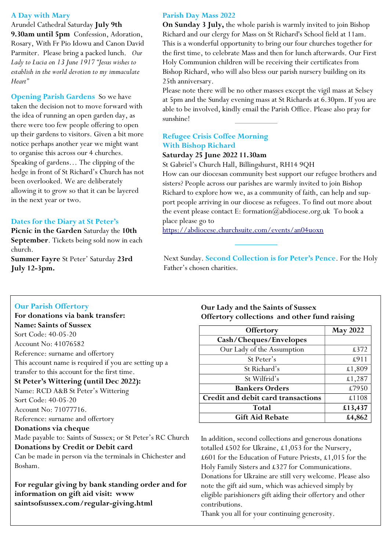# **A Day with Mary**

Arundel Cathedral Saturday **July 9th 9.30am until 5pm** Confession, Adoration, Rosary, With Fr Pio Idowu and Canon David Parmiter. Please bring a packed lunch. *Our Lady to Lucia on 13 June 1917 "Jesus wishes to establish in the world devotion to my immaculate Heart"*

**Opening Parish Gardens** So we have taken the decision not to move forward with the idea of running an open garden day, as there were too few people offering to open up their gardens to visitors. Given a bit more notice perhaps another year we might want to organise this across our 4 churches. Speaking of gardens… The clipping of the hedge in front of St Richard's Church has not been overlooked. We are deliberately allowing it to grow so that it can be layered in the next year or two.

# **Dates for the Diary at St Peter's**

**Picnic in the Garden** Saturday the **10th September**. Tickets being sold now in each church. **Summer Fayre** St Peter' Saturday **23rd July 12-3pm.** 

## **Parish Day Mass 2022**

**On Sunday 3 July,** the whole parish is warmly invited to join Bishop Richard and our clergy for Mass on St Richard's School field at 11am. This is a wonderful opportunity to bring our four churches together for the first time, to celebrate Mass and then for lunch afterwards. Our First Holy Communion children will be receiving their certificates from Bishop Richard, who will also bless our parish nursery building on its 25th anniversary.

Please note there will be no other masses except the vigil mass at Selsey at 5pm and the Sunday evening mass at St Richards at 6.30pm. If you are able to be involved, kindly email the Parish Office. Please also pray for sunshine!

# **Refugee Crisis Coffee Morning With Bishop Richard**

# **Saturday 25 June 2022 11.30am**

St Gabriel's Church Hall, Billingshurst, RH14 9QH How can our diocesan community best support our refugee brothers and sisters? People across our parishes are warmly invited to join Bishop Richard to explore how we, as a community of faith, can help and support people arriving in our diocese as refugees. To find out more about the event please contact E: formation@abdiocese.org.uk To book a place please go to

<https://abdiocese.churchsuite.com/events/an04uoxn>

Next Sunday. **Second Collection is for Peter's Pence**. For the Holy Father's chosen charities.

# **Our Parish Offertory**

Bosham.

**For donations via bank transfer: Name: Saints of Sussex** Sort Code: 40-05-20 Account No: 41076582 Reference: surname and offertory This account name is required if you are setting up a transfer to this account for the first time. **St Peter's Wittering (until Dec 2022):** Name: RCD A&B St Peter's Wittering Sort Code: 40-05-20 Account No: 71077716. Reference: surname and offertory **Donations via cheque** Made payable to: Saints of Sussex; or St Peter's RC Church **Donations by Credit or Debit card** Can be made in person via the terminals in Chichester and

**For regular giving by bank standing order and for information on gift aid visit: www saintsofsussex.com/regular-giving.html**

# **Our Lady and the Saints of Sussex Offertory collections and other fund raising**

| Offertory                          | <b>May 2022</b> |
|------------------------------------|-----------------|
| Cash/Cheques/Envelopes             |                 |
| Our Lady of the Assumption         | £372            |
| St Peter's                         | £911            |
| St Richard's                       | £1,809          |
| St Wilfrid's                       | £1,287          |
| <b>Bankers Orders</b>              | £7950           |
| Credit and debit card transactions | £1108           |
| Total                              | £13,437         |
| <b>Gift Aid Rebate</b>             | £4,862          |

In addition, second collections and generous donations totalled £502 for Ukraine, £1,053 for the Nursery, £601 for the Education of Future Priests, £1,015 for the Holy Family Sisters and £327 for Communications. Donations for Ukraine are still very welcome. Please also note the gift aid sum, which was achieved simply by eligible parishioners gift aiding their offertory and other contributions.

Thank you all for your continuing generosity.